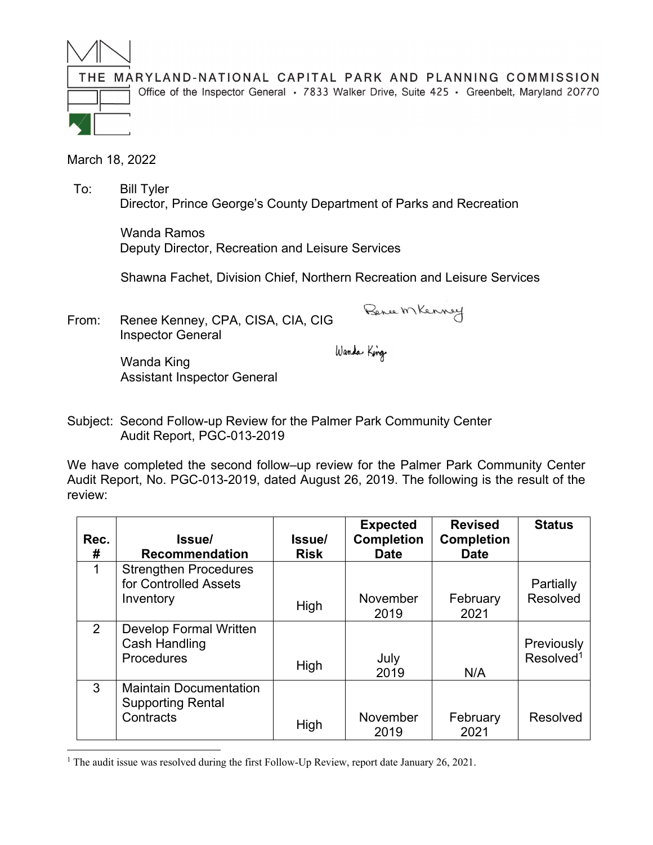

THE MARYLAND-NATIONAL CAPITAL PARK AND PLANNING COMMISSION Office of the Inspector General • 7833 Walker Drive, Suite 425 • Greenbelt, Maryland 20770

March 18, 2022

 To: Bill Tyler Director, Prince George's County Department of Parks and Recreation

> Wanda Ramos Deputy Director, Recreation and Leisure Services

Shawna Fachet, Division Chief, Northern Recreation and Leisure Services

From: Renee Kenney, CPA, CISA, CIA, CIG Inspector General

Bence MKenney

Wanda King

 Wanda King Assistant Inspector General

Subject: Second Follow-up Review for the Palmer Park Community Center Audit Report, PGC-013-2019

We have completed the second follow–up review for the Palmer Park Community Center Audit Report, No. PGC-013-2019, dated August 26, 2019. The following is the result of the review:

| Rec.<br>#      | Issue/<br><b>Recommendation</b>                                        | <b>Issue</b><br><b>Risk</b> | <b>Expected</b><br><b>Completion</b><br><b>Date</b> | <b>Revised</b><br><b>Completion</b><br><b>Date</b> | <b>Status</b>                       |
|----------------|------------------------------------------------------------------------|-----------------------------|-----------------------------------------------------|----------------------------------------------------|-------------------------------------|
| 1              | <b>Strengthen Procedures</b><br>for Controlled Assets<br>Inventory     | High                        | November<br>2019                                    | February<br>2021                                   | Partially<br>Resolved               |
| $\overline{2}$ | <b>Develop Formal Written</b><br>Cash Handling<br><b>Procedures</b>    | High                        | July<br>2019                                        | N/A                                                | Previously<br>Resolved <sup>1</sup> |
| 3              | <b>Maintain Documentation</b><br><b>Supporting Rental</b><br>Contracts | High                        | November<br>2019                                    | February<br>2021                                   | Resolved                            |

<sup>&</sup>lt;sup>1</sup> The audit issue was resolved during the first Follow-Up Review, report date January 26, 2021.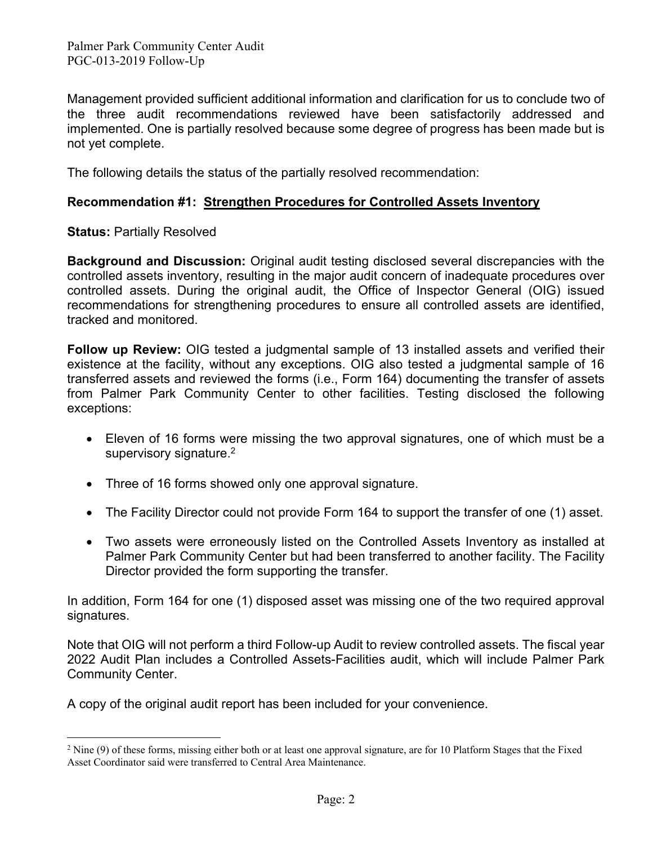Palmer Park Community Center Audit PGC-013-2019 Follow-Up

Management provided sufficient additional information and clarification for us to conclude two of the three audit recommendations reviewed have been satisfactorily addressed and implemented. One is partially resolved because some degree of progress has been made but is not yet complete.

The following details the status of the partially resolved recommendation:

## **Recommendation #1: Strengthen Procedures for Controlled Assets Inventory**

## **Status:** Partially Resolved

**Background and Discussion:** Original audit testing disclosed several discrepancies with the controlled assets inventory, resulting in the major audit concern of inadequate procedures over controlled assets. During the original audit, the Office of Inspector General (OIG) issued recommendations for strengthening procedures to ensure all controlled assets are identified, tracked and monitored.

**Follow up Review:** OIG tested a judgmental sample of 13 installed assets and verified their existence at the facility, without any exceptions. OIG also tested a judgmental sample of 16 transferred assets and reviewed the forms (i.e., Form 164) documenting the transfer of assets from Palmer Park Community Center to other facilities. Testing disclosed the following exceptions:

- Eleven of 16 forms were missing the two approval signatures, one of which must be a supervisory signature.<sup>2</sup>
- Three of 16 forms showed only one approval signature.
- The Facility Director could not provide Form 164 to support the transfer of one (1) asset.
- Two assets were erroneously listed on the Controlled Assets Inventory as installed at Palmer Park Community Center but had been transferred to another facility. The Facility Director provided the form supporting the transfer.

In addition, Form 164 for one (1) disposed asset was missing one of the two required approval signatures.

Note that OIG will not perform a third Follow-up Audit to review controlled assets. The fiscal year 2022 Audit Plan includes a Controlled Assets-Facilities audit, which will include Palmer Park Community Center.

A copy of the original audit report has been included for your convenience.

 $2$  Nine (9) of these forms, missing either both or at least one approval signature, are for 10 Platform Stages that the Fixed Asset Coordinator said were transferred to Central Area Maintenance.